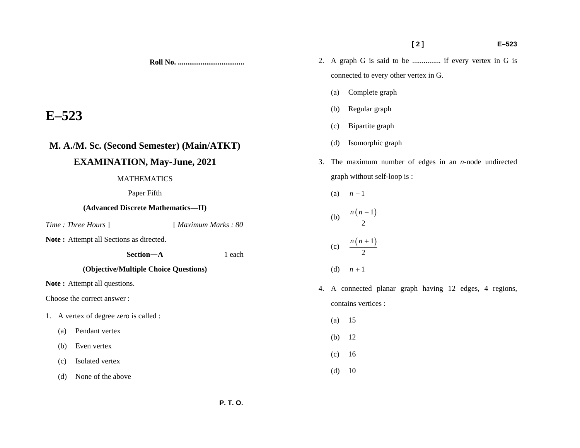**Roll No. ...................................** 

# **E–523**

## **M. A./M. Sc. (Second Semester) (Main/ATKT)**

### **EXAMINATION, May-June, 2021**

### MATHEMATICS

Paper Fifth

### **(Advanced Discrete Mathematics—II)**

*Time : Three Hours* ] [ *Maximum Marks : 80* 

**Note :** Attempt all Sections as directed.

 **Section—A** 1 each

### **(Objective/Multiple Choice Questions)**

**Note :** Attempt all questions.

Choose the correct answer :

- 1. A vertex of degree zero is called :
	- (a) Pendant vertex
	- (b) Even vertex
	- (c) Isolated vertex
	- (d) None of the above
- 2. A graph G is said to be ............... if every vertex in G is connected to every other vertex in G.
	- (a) Complete graph
	- (b) Regular graph
	- (c) Bipartite graph
	- (d) Isomorphic graph
- 3. The maximum number of edges in an *n*-node undirected graph without self-loop is :
	- (a)  $n-1$
	- (b)  $\frac{n(n-1)}{2}$ (c)  $\frac{n(n+1)}{2}$
	- (d)  $n + 1$
- 4. A connected planar graph having 12 edges, 4 regions, contains vertices :
	- (a) 15
	- (b) 12
	- (c) 16
	- (d) 10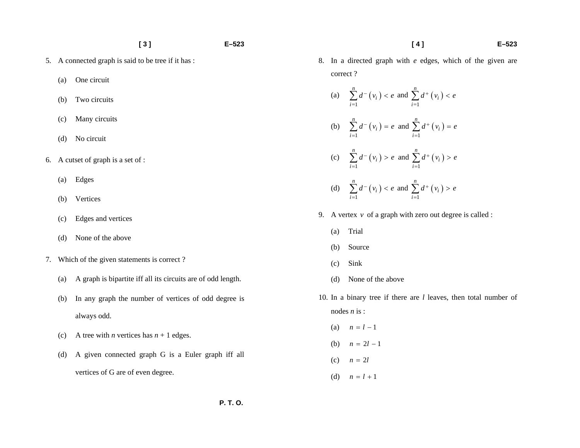- 5. A connected graph is said to be tree if it has :
	- (a) One circuit
	- (b) Two circuits
	- (c) Many circuits
	- (d) No circuit
- 6. A cutset of graph is a set of :
	- (a) Edges
	- (b) Vertices
	- (c) Edges and vertices
	- (d) None of the above
- 7. Which of the given statements is correct ?
	- (a) A graph is bipartite iff all its circuits are of odd length.
	- (b) In any graph the number of vertices of odd degree is always odd.
	- (c) A tree with *n* vertices has  $n + 1$  edges.
	- (d) A given connected graph G is a Euler graph iff all vertices of G are of even degree.

8. In a directed graph with *e* edges, which of the given are correct ?

 **[ 4 ] E–523** 

- (a)  $\sum_{i=1} d^{-}(v_i)$  $\sum_{i=1}^n d^- (v_i$  $\sum_{i=1} d^{-}(v_i) < e$  and  $\sum_{i=1} d^{+}(v_i)$  $\sum_{i=1}^n d^+ (v_i$  $\sum d^+(v_i) < e$ (b)  $\sum_{i=1} d^{-}(v_i)$  $\sum_{i=1}^n d^- (v_i$  $\sum_{i=1} d^-(v_i) = e$  and  $\sum_{i=1} d^+(v_i)$  $\sum_{i=1}^n d^+(v_i)$  $\sum d^+(v_i) = e$
- (c)  $\sum_{i=1} d^{-}(v_i)$  $\sum_{i=1}^n d^- (v_i$  $d^{-}(v_i) > e$  $\sum_{i=1} d^{-}(v_i) > e$  and  $\sum_{i=1} d^{+}(v_i)$  $\sum_{i=1}^{n} d^{+} (v_i$  $d^+(v_i) > e$  $\sum_{i=1} d^+(v_i) >$
- (d)  $\sum_{i=1} d^{-}(v_i)$  $\sum_{i=1}^n d^- (v_i$  $\sum_{i=1} d^-(v_i) < e$  and  $\sum_{i=1} d^+(v_i)$  $\sum_{i=1}^n d^+(v_i)$  $\sum d^+(v_i) > e$
- 9. A vertex *v* of a graph with zero out degree is called :
	- (a) Trial
	- (b) Source
	- (c) Sink
	- (d) None of the above
- 10. In a binary tree if there are *l* leaves, then total number of nodes *n* is :
	- (a)  $n = l 1$
	- (b)  $n = 2l 1$
	- (c)  $n = 2l$
	- (d)  $n = l + 1$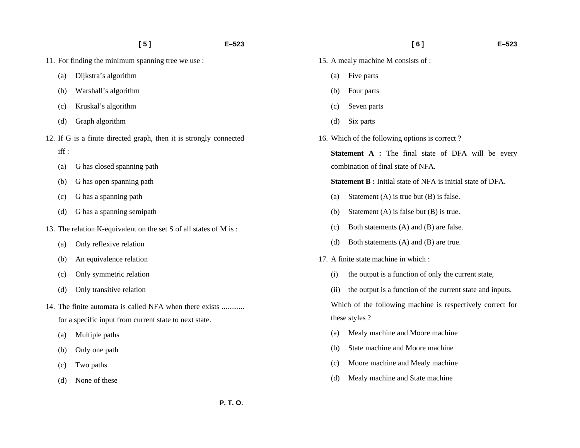- 11. For finding the minimum spanning tree we use :
	- (a) Dijkstra's algorithm
	- (b) Warshall's algorithm
	- (c) Kruskal's algorithm
	- (d) Graph algorithm
- 12. If G is a finite directed graph, then it is strongly connected
	- iff :
	- (a) G has closed spanning path
	- (b) G has open spanning path
	- (c) G has a spanning path
	- (d) G has a spanning semipath
- 13. The relation K-equivalent on the set S of all states of M is :
	- (a) Only reflexive relation
	- (b) An equivalence relation
	- (c) Only symmetric relation
	- (d) Only transitive relation
- 14. The finite automata is called NFA when there exists ............ for a specific input from current state to next state.
	- (a) Multiple paths
	- (b) Only one path
	- (c) Two paths
	- (d) None of these
- 15. A mealy machine M consists of :
	- (a) Five parts
	- (b) Four parts
	- (c) Seven parts
	- (d) Six parts
- 16. Which of the following options is correct ?
	- **Statement A :** The final state of DFA will be every combination of final state of NFA.
	- **Statement B :** Initial state of NFA is initial state of DFA.
	- (a) Statement  $(A)$  is true but  $(B)$  is false.
	- (b) Statement (A) is false but (B) is true.
	- (c) Both statements (A) and (B) are false.
	- (d) Both statements (A) and (B) are true.
- 17. A finite state machine in which :
	- (i) the output is a function of only the current state,
	- (ii) the output is a function of the current state and inputs.

Which of the following machine is respectively correct for these styles ?

- (a) Mealy machine and Moore machine
- (b) State machine and Moore machine
- (c) Moore machine and Mealy machine
- (d) Mealy machine and State machine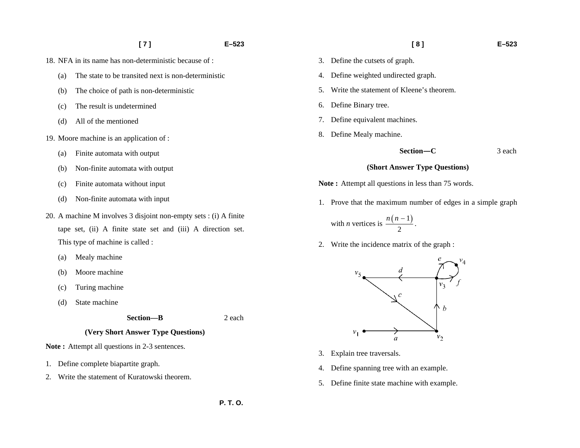#### **[ 7 ] E–523**

- 18. NFA in its name has non-deterministic because of :
	- (a) The state to be transited next is non-deterministic
	- (b) The choice of path is non-deterministic
	- (c) The result is undetermined
	- (d) All of the mentioned
- 19. Moore machine is an application of :
	- (a) Finite automata with output
	- (b) Non-finite automata with output
	- (c) Finite automata without input
	- (d) Non-finite automata with input
- 20. A machine M involves 3 disjoint non-empty sets : (i) A finite tape set, (ii) A finite state set and (iii) A direction set. This type of machine is called :
	- (a) Mealy machine
	- (b) Moore machine
	- (c) Turing machine
	- (d) State machine

#### **(Very Short Answer Type Questions)**

**Note :** Attempt all questions in 2-3 sentences.

- 1. Define complete biapartite graph.
- 2. Write the statement of Kuratowski theorem.

 **[ 8 ] E–523** 

- 3. Define the cutsets of graph.
- 4. Define weighted undirected graph.
- 5. Write the statement of Kleene's theorem.
- 6. Define Binary tree.
- 7. Define equivalent machines.
- 8. Define Mealy machine.

 **Section—C** 3 each

#### **(Short Answer Type Questions)**

**Note :** Attempt all questions in less than 75 words.

1. Prove that the maximum number of edges in a simple graph

with *n* vertices is  $\frac{n(n-1)}{2}$  $\frac{n(n-1)}{n}$ .

2. Write the incidence matrix of the graph :



- 3. Explain tree traversals.
- 4. Define spanning tree with an example.
- 5. Define finite state machine with example.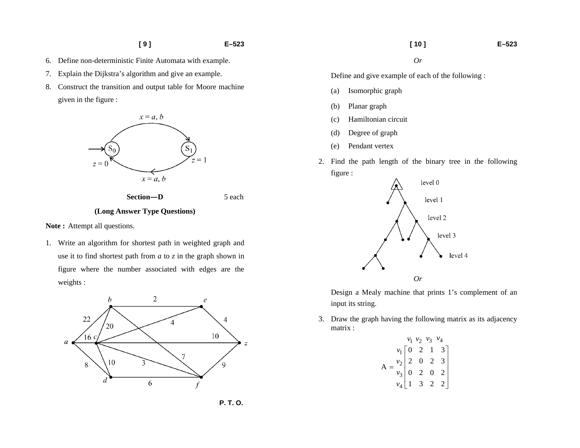- **[ 9 ] E–523**
- 6. Define non-deterministic Finite Automata with example.
- 7. Explain the Dijkstra's algorithm and give an example.
- 8. Construct the transition and output table for Moore machine given in the figure :



 **Section—D** 5 each

#### **(Long Answer Type Questions)**

Note: Attempt all questions.

1. Write an algorithm for shortest path in weighted graph and use it to find shortest path from *a* to *z* in the graph shown in figure where the number associated with edges are the weights :



Define and give example of each of the following :

- (a) Isomorphic graph
- (b) Planar graph
- (c) Hamiltonian circuit
- (d) Degree of graph
- (e) Pendant vertex
- 2. Find the path length of the binary tree in the following figure :



Design a Mealy machine that prints 1's complement of an input its string.

3. Draw the graph having the following matrix as its adjacency matrix :

$$
A = \begin{bmatrix} v_1 & v_2 & v_3 & v_4 \\ v_1 & 0 & 2 & 1 & 3 \\ v_2 & 2 & 0 & 2 & 3 \\ v_3 & 0 & 2 & 0 & 2 \\ v_4 & 1 & 3 & 2 & 2 \end{bmatrix}
$$